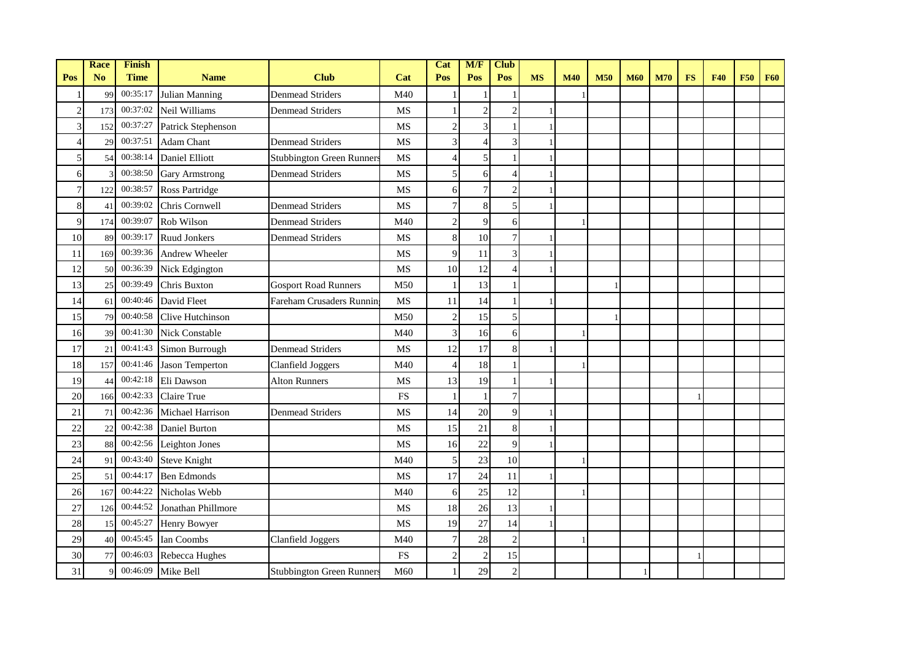|                | Race           | Finish      |                        |                                  |           | Cat            | M/F            | <b>Club</b>    |           |            |            |            |            |           |            |            |            |
|----------------|----------------|-------------|------------------------|----------------------------------|-----------|----------------|----------------|----------------|-----------|------------|------------|------------|------------|-----------|------------|------------|------------|
| Pos            | N <sub>o</sub> | <b>Time</b> | <b>Name</b>            | <b>Club</b>                      | Cat       | Pos            | Pos            | Pos            | <b>MS</b> | <b>M40</b> | <b>M50</b> | <b>M60</b> | <b>M70</b> | <b>FS</b> | <b>F40</b> | <b>F50</b> | <b>F60</b> |
|                | 99             | 00:35:17    | Julian Manning         | <b>Denmead Striders</b>          | M40       |                |                |                |           |            |            |            |            |           |            |            |            |
| $\overline{c}$ | 173            | 00:37:02    | Neil Williams          | <b>Denmead Striders</b>          | MS        |                | $\overline{2}$ | $\overline{2}$ |           |            |            |            |            |           |            |            |            |
| 3              | 152            | 00:37:27    | Patrick Stephenson     |                                  | MS        | $\mathbf{2}$   | 3              |                |           |            |            |            |            |           |            |            |            |
| 4              | 29             | 00:37:51    | Adam Chant             | <b>Denmead Striders</b>          | <b>MS</b> | 3              | $\overline{4}$ | 3              |           |            |            |            |            |           |            |            |            |
| 5              | 54             | 00:38:14    | <b>Daniel Elliott</b>  | <b>Stubbington Green Runners</b> | <b>MS</b> | 4              | 5              |                |           |            |            |            |            |           |            |            |            |
| 6              |                | 00:38:50    | <b>Gary Armstrong</b>  | <b>Denmead Striders</b>          | MS        | 5              | 6              |                |           |            |            |            |            |           |            |            |            |
| $\overline{7}$ | 122            | 00:38:57    | Ross Partridge         |                                  | MS        | 6              | 7              | $\mathbf{2}$   |           |            |            |            |            |           |            |            |            |
| 8              | 41             | 00:39:02    | Chris Cornwell         | <b>Denmead Striders</b>          | <b>MS</b> | 7              | 8              | 5              |           |            |            |            |            |           |            |            |            |
| 9              | 174            | 00:39:07    | Rob Wilson             | <b>Denmead Striders</b>          | M40       | $\overline{c}$ | 9              | 6              |           |            |            |            |            |           |            |            |            |
| 10             | 89             | 00:39:17    | <b>Ruud Jonkers</b>    | <b>Denmead Striders</b>          | MS        | 8              | 10             |                |           |            |            |            |            |           |            |            |            |
| 11             | 169            | 00:39:36    | Andrew Wheeler         |                                  | MS        | 9              | 11             | 3              |           |            |            |            |            |           |            |            |            |
| 12             | 50             | 00:36:39    | Nick Edgington         |                                  | MS        | 10             | 12             | $\overline{4}$ |           |            |            |            |            |           |            |            |            |
| 13             | 25             | 00:39:49    | <b>Chris Buxton</b>    | <b>Gosport Road Runners</b>      | M50       |                | 13             |                |           |            |            |            |            |           |            |            |            |
| 14             | 61             | 00:40:46    | David Fleet            | Fareham Crusaders Runnin         | MS        | 11             | 14             |                |           |            |            |            |            |           |            |            |            |
| 15             | 79             | 00:40:58    | Clive Hutchinson       |                                  | M50       | $\sqrt{2}$     | 15             | 5              |           |            |            |            |            |           |            |            |            |
| 16             | 39             | 00:41:30    | <b>Nick Constable</b>  |                                  | M40       | 3              | 16             | 6              |           |            |            |            |            |           |            |            |            |
| 17             | 21             | 00:41:43    | Simon Burrough         | <b>Denmead Striders</b>          | <b>MS</b> | 12             | 17             | 8              |           |            |            |            |            |           |            |            |            |
| 18             | 157            | 00:41:46    | <b>Jason Temperton</b> | Clanfield Joggers                | M40       | 4              | 18             |                |           |            |            |            |            |           |            |            |            |
| 19             | 44             | 00:42:18    | Eli Dawson             | <b>Alton Runners</b>             | MS        | 13             | 19             |                |           |            |            |            |            |           |            |            |            |
| 20             | 166            | 00:42:33    | Claire True            |                                  | <b>FS</b> | 1              |                | $\overline{7}$ |           |            |            |            |            |           |            |            |            |
| 21             | 71             | 00:42:36    | Michael Harrison       | <b>Denmead Striders</b>          | <b>MS</b> | 14             | 20             | 9              |           |            |            |            |            |           |            |            |            |
| 22             | 22             | 00:42:38    | <b>Daniel Burton</b>   |                                  | MS        | 15             | 21             | 8              |           |            |            |            |            |           |            |            |            |
| 23             | 88             | 00:42:56    | Leighton Jones         |                                  | MS        | 16             | 22             | 9              |           |            |            |            |            |           |            |            |            |
| 24             | 91             | 00:43:40    | <b>Steve Knight</b>    |                                  | M40       | 5              | 23             | 10             |           |            |            |            |            |           |            |            |            |
| 25             | 51             | 00:44:17    | <b>Ben Edmonds</b>     |                                  | <b>MS</b> | 17             | 24             | 11             |           |            |            |            |            |           |            |            |            |
| 26             | 167            | 00:44:22    | Nicholas Webb          |                                  | M40       | 6              | 25             | 12             |           |            |            |            |            |           |            |            |            |
| 27             | 126            | 00:44:52    | Jonathan Phillmore     |                                  | MS        | 18             | 26             | 13             |           |            |            |            |            |           |            |            |            |
| 28             | 15             | 00:45:27    | Henry Bowyer           |                                  | <b>MS</b> | 19             | 27             | 14             |           |            |            |            |            |           |            |            |            |
| 29             | 40             | 00:45:45    | Ian Coombs             | Clanfield Joggers                | M40       | 7              | 28             | $\overline{2}$ |           |            |            |            |            |           |            |            |            |
| 30             | 77             | 00:46:03    | Rebecca Hughes         |                                  | <b>FS</b> | $\overline{c}$ | $\overline{2}$ | 15             |           |            |            |            |            |           |            |            |            |
| 31             |                | 00:46:09    | Mike Bell              | <b>Stubbington Green Runners</b> | M60       | 1              | 29             | $\overline{2}$ |           |            |            |            |            |           |            |            |            |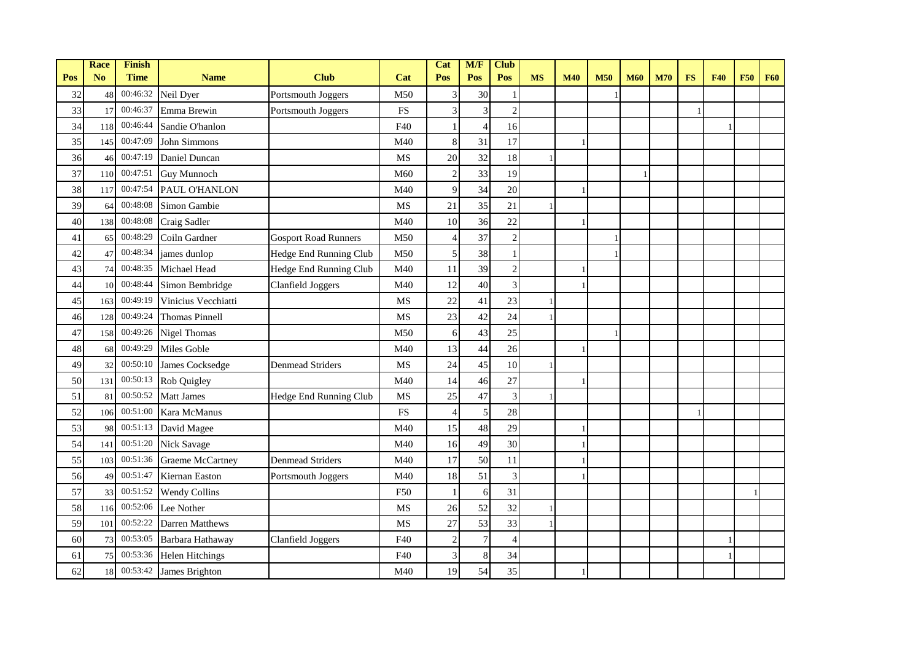|     | <b>Race</b>    | Finish      |                         |                             |           | Cat                      | M/F                      | <b>Club</b>    |           |            |            |            |            |           |            |            |            |
|-----|----------------|-------------|-------------------------|-----------------------------|-----------|--------------------------|--------------------------|----------------|-----------|------------|------------|------------|------------|-----------|------------|------------|------------|
| Pos | N <sub>o</sub> | <b>Time</b> | <b>Name</b>             | <b>Club</b>                 | Cat       | Pos                      | Pos                      | Pos            | <b>MS</b> | <b>M40</b> | <b>M50</b> | <b>M60</b> | <b>M70</b> | <b>FS</b> | <b>F40</b> | <b>F50</b> | <b>F60</b> |
| 32  | 48             | 00:46:32    | Neil Dyer               | Portsmouth Joggers          | M50       | 3                        | 30                       |                |           |            |            |            |            |           |            |            |            |
| 33  | 17             | 00:46:37    | Emma Brewin             | Portsmouth Joggers          | <b>FS</b> | $\overline{\mathbf{3}}$  | 3                        | $\overline{2}$ |           |            |            |            |            |           |            |            |            |
| 34  | 118            | 00:46:44    | Sandie O'hanlon         |                             | F40       | 1                        | $\overline{\mathcal{A}}$ | 16             |           |            |            |            |            |           |            |            |            |
| 35  | 145            | 00:47:09    | John Simmons            |                             | M40       | 8                        | 31                       | 17             |           |            |            |            |            |           |            |            |            |
| 36  | 46             | 00:47:19    | Daniel Duncan           |                             | <b>MS</b> | 20                       | 32                       | 18             |           |            |            |            |            |           |            |            |            |
| 37  | 110            | 00:47:51    | <b>Guy Munnoch</b>      |                             | M60       | $\overline{2}$           | 33                       | 19             |           |            |            |            |            |           |            |            |            |
| 38  | 117            | 00:47:54    | PAUL O'HANLON           |                             | M40       | 9                        | 34                       | 20             |           |            |            |            |            |           |            |            |            |
| 39  | 64             | 00:48:08    | Simon Gambie            |                             | MS        | 21                       | 35                       | 21             |           |            |            |            |            |           |            |            |            |
| 40  | 138            | 00:48:08    | Craig Sadler            |                             | M40       | 10                       | 36                       | 22             |           |            |            |            |            |           |            |            |            |
| 41  | 65             | 00:48:29    | Coiln Gardner           | <b>Gosport Road Runners</b> | M50       | $\overline{\mathcal{L}}$ | 37                       | $\overline{2}$ |           |            |            |            |            |           |            |            |            |
| 42  | 47             | 00:48:34    | james dunlop            | Hedge End Running Club      | M50       | $\mathfrak{S}$           | 38                       |                |           |            |            |            |            |           |            |            |            |
| 43  | 74             | 00:48:35    | Michael Head            | Hedge End Running Club      | M40       | 11                       | 39                       | $\overline{2}$ |           |            |            |            |            |           |            |            |            |
| 44  | 10             | 00:48:44    | Simon Bembridge         | <b>Clanfield Joggers</b>    | M40       | 12                       | 40                       | 3              |           |            |            |            |            |           |            |            |            |
| 45  | 163            | 00:49:19    | Vinicius Vecchiatti     |                             | <b>MS</b> | 22                       | 41                       | 23             |           |            |            |            |            |           |            |            |            |
| 46  | 128            | 00:49:24    | <b>Thomas Pinnell</b>   |                             | <b>MS</b> | 23                       | 42                       | 24             |           |            |            |            |            |           |            |            |            |
| 47  | 158            | 00:49:26    | <b>Nigel Thomas</b>     |                             | M50       | 6                        | 43                       | 25             |           |            |            |            |            |           |            |            |            |
| 48  | 68             | 00:49:29    | Miles Goble             |                             | M40       | 13                       | 44                       | 26             |           |            |            |            |            |           |            |            |            |
| 49  | 32             | 00:50:10    | James Cocksedge         | <b>Denmead Striders</b>     | MS        | 24                       | 45                       | 10             |           |            |            |            |            |           |            |            |            |
| 50  | 131            | 00:50:13    | <b>Rob Quigley</b>      |                             | M40       | 14                       | 46                       | 27             |           |            |            |            |            |           |            |            |            |
| 51  | 81             | 00:50:52    | <b>Matt James</b>       | Hedge End Running Club      | <b>MS</b> | 25                       | 47                       | 3              |           |            |            |            |            |           |            |            |            |
| 52  | 106            | 00:51:00    | Kara McManus            |                             | <b>FS</b> | 4                        | 5                        | 28             |           |            |            |            |            |           |            |            |            |
| 53  | 98             | 00:51:13    | David Magee             |                             | M40       | 15                       | 48                       | 29             |           |            |            |            |            |           |            |            |            |
| 54  | 141            | 00:51:20    | Nick Savage             |                             | M40       | 16                       | 49                       | 30             |           |            |            |            |            |           |            |            |            |
| 55  | 103            | 00:51:36    | <b>Graeme McCartney</b> | <b>Denmead Striders</b>     | M40       | 17                       | 50                       | 11             |           |            |            |            |            |           |            |            |            |
| 56  | 49             | 00:51:47    | Kiernan Easton          | Portsmouth Joggers          | M40       | 18                       | 51                       | 3              |           |            |            |            |            |           |            |            |            |
| 57  | 33             | 00:51:52    | <b>Wendy Collins</b>    |                             | F50       |                          | 6                        | 31             |           |            |            |            |            |           |            |            |            |
| 58  | 116            | 00:52:06    | Lee Nother              |                             | MS        | 26                       | 52                       | 32             |           |            |            |            |            |           |            |            |            |
| 59  | 101            | 00:52:22    | <b>Darren Matthews</b>  |                             | <b>MS</b> | 27                       | 53                       | 33             |           |            |            |            |            |           |            |            |            |
| 60  | 73             | 00:53:05    | Barbara Hathaway        | Clanfield Joggers           | F40       | $\overline{c}$           | $\overline{7}$           | $\overline{4}$ |           |            |            |            |            |           |            |            |            |
| 61  | 75             | 00:53:36    | <b>Helen Hitchings</b>  |                             | F40       | 3                        | 8                        | 34             |           |            |            |            |            |           |            |            |            |
| 62  | 18             |             | 00:53:42 James Brighton |                             | M40       | 19                       | 54                       | 35             |           |            |            |            |            |           |            |            |            |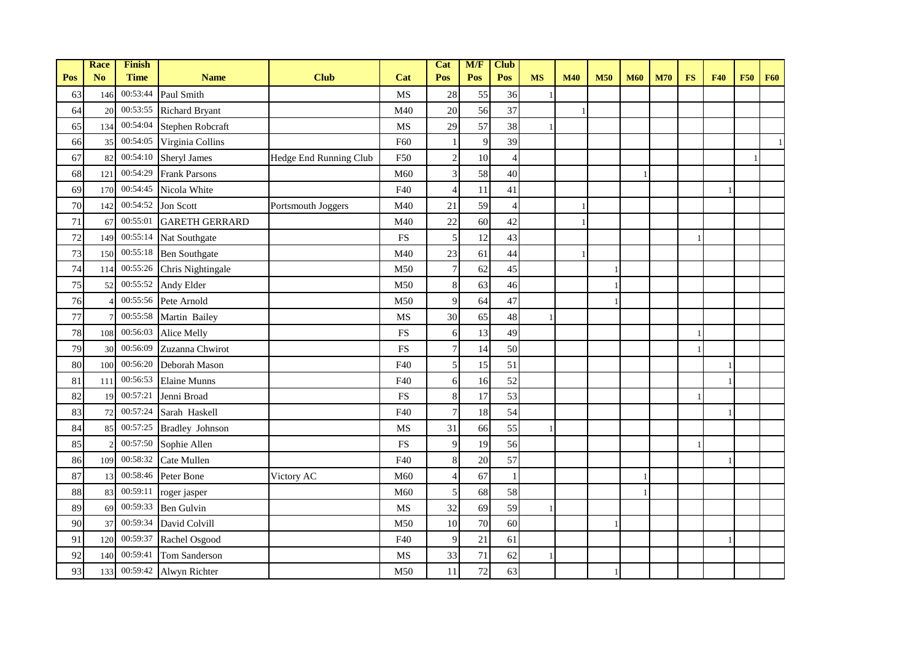|        | <b>Race</b>    | <b>Finish</b> |                        |                        |                        | Cat              | M/F | <b>Club</b>    |           |            |            |            |            |           |            |            |            |
|--------|----------------|---------------|------------------------|------------------------|------------------------|------------------|-----|----------------|-----------|------------|------------|------------|------------|-----------|------------|------------|------------|
| Pos    | N <sub>o</sub> | <b>Time</b>   | <b>Name</b>            | <b>Club</b>            | Cat                    | Pos              | Pos | Pos            | <b>MS</b> | <b>M40</b> | <b>M50</b> | <b>M60</b> | <b>M70</b> | <b>FS</b> | <b>F40</b> | <b>F50</b> | <b>F60</b> |
| 63     | 146            | 00:53:44      | Paul Smith             |                        | <b>MS</b>              | $28\,$           | 55  | 36             |           |            |            |            |            |           |            |            |            |
| 64     | 20             | 00:53:55      | <b>Richard Bryant</b>  |                        | M40                    | 20               | 56  | 37             |           |            |            |            |            |           |            |            |            |
| 65     | 134            | 00:54:04      | Stephen Robcraft       |                        | MS                     | 29               | 57  | 38             |           |            |            |            |            |           |            |            |            |
| 66     | 35             | 00:54:05      | Virginia Collins       |                        | F60                    |                  | 9   | 39             |           |            |            |            |            |           |            |            |            |
| 67     | 82             | 00:54:10      | Sheryl James           | Hedge End Running Club | F50                    | $\overline{c}$   | 10  | $\overline{4}$ |           |            |            |            |            |           |            |            |            |
| 68     | 121            | 00:54:29      | <b>Frank Parsons</b>   |                        | M60                    | 3                | 58  | 40             |           |            |            |            |            |           |            |            |            |
| 69     | 170            | 00:54:45      | Nicola White           |                        | F40                    | $\overline{4}$   | 11  | 41             |           |            |            |            |            |           |            |            |            |
| 70     | 142            | 00:54:52      | Jon Scott              | Portsmouth Joggers     | M40                    | 21               | 59  | $\overline{A}$ |           |            |            |            |            |           |            |            |            |
| 71     | 67             | 00:55:01      | <b>GARETH GERRARD</b>  |                        | M40                    | $22\,$           | 60  | 42             |           |            |            |            |            |           |            |            |            |
| 72     | 149            | 00:55:14      | Nat Southgate          |                        | <b>FS</b>              | 5                | 12  | 43             |           |            |            |            |            |           |            |            |            |
| $73\,$ | 150            | 00:55:18      | <b>Ben Southgate</b>   |                        | M40                    | 23               | 61  | 44             |           |            |            |            |            |           |            |            |            |
| 74     | 114            | 00:55:26      | Chris Nightingale      |                        | M50                    | 7                | 62  | 45             |           |            |            |            |            |           |            |            |            |
| 75     | 52             | 00:55:52      | Andy Elder             |                        | M50                    | $\,8\,$          | 63  | 46             |           |            |            |            |            |           |            |            |            |
| 76     |                | 00:55:56      | Pete Arnold            |                        | M50                    | 9                | 64  | 47             |           |            |            |            |            |           |            |            |            |
| 77     |                | 00:55:58      | Martin Bailey          |                        | MS                     | 30               | 65  | 48             |           |            |            |            |            |           |            |            |            |
| $78\,$ | 108            | 00:56:03      | Alice Melly            |                        | <b>FS</b>              | 6                | 13  | 49             |           |            |            |            |            |           |            |            |            |
| 79     | 30             | 00:56:09      | Zuzanna Chwirot        |                        | $\mathop{\mathrm{FS}}$ | $\boldsymbol{7}$ | 14  | 50             |           |            |            |            |            |           |            |            |            |
| 80     | 100            | 00:56:20      | Deborah Mason          |                        | F40                    | 5                | 15  | 51             |           |            |            |            |            |           |            |            |            |
| 81     | 111            | 00:56:53      | <b>Elaine Munns</b>    |                        | F40                    | 6                | 16  | 52             |           |            |            |            |            |           |            |            |            |
| 82     | 19             | 00:57:21      | Jenni Broad            |                        | <b>FS</b>              | $\,8\,$          | 17  | 53             |           |            |            |            |            |           |            |            |            |
| 83     | 72             | 00:57:24      | Sarah Haskell          |                        | F40                    | $\boldsymbol{7}$ | 18  | 54             |           |            |            |            |            |           |            |            |            |
| 84     | 85             | 00:57:25      | <b>Bradley Johnson</b> |                        | MS                     | 31               | 66  | 55             |           |            |            |            |            |           |            |            |            |
| 85     |                | 00:57:50      | Sophie Allen           |                        | <b>FS</b>              | 9                | 19  | 56             |           |            |            |            |            |           |            |            |            |
| 86     | 109            | 00:58:32      | Cate Mullen            |                        | F40                    | 8                | 20  | 57             |           |            |            |            |            |           |            |            |            |
| 87     | 13             | 00:58:46      | Peter Bone             | Victory AC             | M60                    | $\overline{4}$   | 67  |                |           |            |            | -1         |            |           |            |            |            |
| 88     | 83             | 00:59:11      | roger jasper           |                        | M60                    | 5                | 68  | 58             |           |            |            |            |            |           |            |            |            |
| 89     | 69             | 00:59:33      | <b>Ben Gulvin</b>      |                        | MS                     | 32               | 69  | 59             |           |            |            |            |            |           |            |            |            |
| 90     | 37             | 00:59:34      | David Colvill          |                        | M50                    | 10               | 70  | 60             |           |            |            |            |            |           |            |            |            |
| 91     | 120            | 00:59:37      | Rachel Osgood          |                        | F40                    | 9                | 21  | 61             |           |            |            |            |            |           |            |            |            |
| 92     | 140            | 00:59:41      | Tom Sanderson          |                        | MS                     | 33               | 71  | 62             |           |            |            |            |            |           |            |            |            |
| 93     | 133            | 00:59:42      | Alwyn Richter          |                        | M50                    | 11               | 72  | 63             |           |            |            |            |            |           |            |            |            |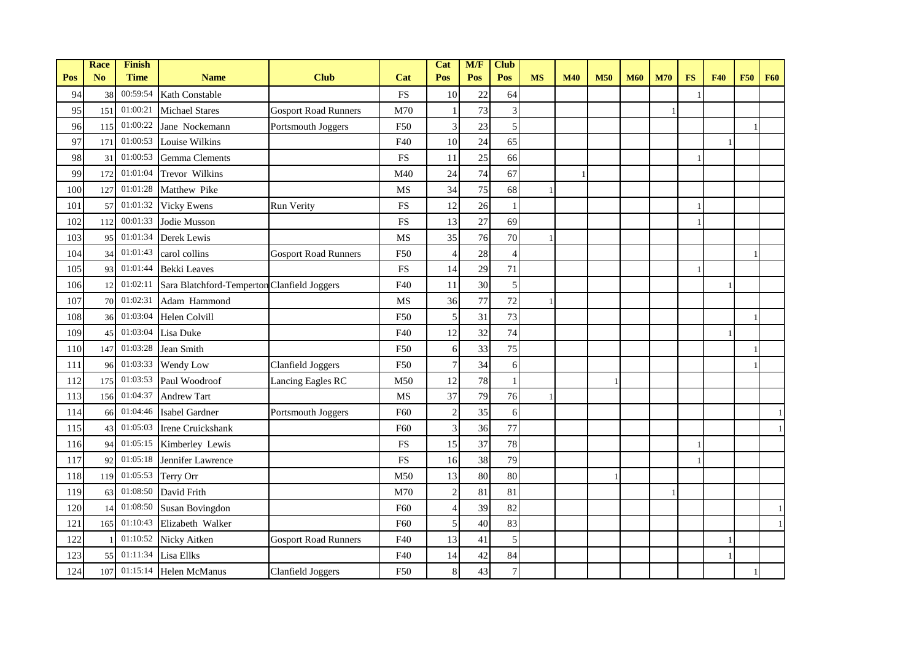|     | <b>Race</b>    | Finish      |                                             |                             |           | Cat            | M/F | <b>Club</b>    |           |            |            |            |            |           |            |            |            |
|-----|----------------|-------------|---------------------------------------------|-----------------------------|-----------|----------------|-----|----------------|-----------|------------|------------|------------|------------|-----------|------------|------------|------------|
| Pos | N <sub>o</sub> | <b>Time</b> | <b>Name</b>                                 | <b>Club</b>                 | Cat       | Pos            | Pos | Pos            | <b>MS</b> | <b>M40</b> | <b>M50</b> | <b>M60</b> | <b>M70</b> | <b>FS</b> | <b>F40</b> | <b>F50</b> | <b>F60</b> |
| 94  | 38             | 00:59:54    | Kath Constable                              |                             | <b>FS</b> | 10             | 22  | 64             |           |            |            |            |            |           |            |            |            |
| 95  | 151            | 01:00:21    | <b>Michael Stares</b>                       | <b>Gosport Road Runners</b> | M70       |                | 73  | 3              |           |            |            |            |            |           |            |            |            |
| 96  | 115            | 01:00:22    | Jane Nockemann                              | Portsmouth Joggers          | F50       | 3              | 23  | 5              |           |            |            |            |            |           |            |            |            |
| 97  | 171            | 01:00:53    | Louise Wilkins                              |                             | F40       | 10             | 24  | 65             |           |            |            |            |            |           |            |            |            |
| 98  | 31             | 01:00:53    | <b>Gemma</b> Clements                       |                             | <b>FS</b> | 11             | 25  | 66             |           |            |            |            |            |           |            |            |            |
| 99  | 172            | 01:01:04    | Trevor Wilkins                              |                             | M40       | 24             | 74  | 67             |           |            |            |            |            |           |            |            |            |
| 100 | 127            | 01:01:28    | Matthew Pike                                |                             | MS        | 34             | 75  | 68             |           |            |            |            |            |           |            |            |            |
| 101 | 57             | 01:01:32    | <b>Vicky Ewens</b>                          | <b>Run Verity</b>           | <b>FS</b> | 12             | 26  |                |           |            |            |            |            |           |            |            |            |
| 102 | 112            | 00:01:33    | Jodie Musson                                |                             | <b>FS</b> | 13             | 27  | 69             |           |            |            |            |            |           |            |            |            |
| 103 | 95             | 01:01:34    | Derek Lewis                                 |                             | <b>MS</b> | 35             | 76  | 70             |           |            |            |            |            |           |            |            |            |
| 104 | 34             | 01:01:43    | carol collins                               | <b>Gosport Road Runners</b> | F50       | 4              | 28  |                |           |            |            |            |            |           |            |            |            |
| 105 | 93             | 01:01:44    | <b>Bekki</b> Leaves                         |                             | <b>FS</b> | 14             | 29  | 71             |           |            |            |            |            |           |            |            |            |
| 106 | 12             | 01:02:11    | Sara Blatchford-Temperton Clanfield Joggers |                             | F40       | 11             | 30  | 5              |           |            |            |            |            |           |            |            |            |
| 107 | 70             | 01:02:31    | Adam Hammond                                |                             | <b>MS</b> | 36             | 77  | 72             |           |            |            |            |            |           |            |            |            |
| 108 | 36             | 01:03:04    | Helen Colvill                               |                             | F50       | 5              | 31  | 73             |           |            |            |            |            |           |            |            |            |
| 109 | 45             | 01:03:04    | Lisa Duke                                   |                             | F40       | 12             | 32  | 74             |           |            |            |            |            |           |            |            |            |
| 110 | 147            | 01:03:28    | Jean Smith                                  |                             | F50       | 6              | 33  | 75             |           |            |            |            |            |           |            |            |            |
| 111 | 96             | 01:03:33    | Wendy Low                                   | <b>Clanfield Joggers</b>    | F50       | 7              | 34  | 6              |           |            |            |            |            |           |            |            |            |
| 112 | 175            | 01:03:53    | Paul Woodroof                               | Lancing Eagles RC           | M50       | 12             | 78  |                |           |            |            |            |            |           |            |            |            |
| 113 | 156            | 01:04:37    | <b>Andrew Tart</b>                          |                             | <b>MS</b> | 37             | 79  | 76             |           |            |            |            |            |           |            |            |            |
| 114 | 66             | 01:04:46    | Isabel Gardner                              | Portsmouth Joggers          | F60       | $\overline{c}$ | 35  | 6              |           |            |            |            |            |           |            |            |            |
| 115 | 43             | 01:05:03    | Irene Cruickshank                           |                             | F60       | 3              | 36  | 77             |           |            |            |            |            |           |            |            |            |
| 116 | 94             | 01:05:15    | Kimberley Lewis                             |                             | <b>FS</b> | 15             | 37  | 78             |           |            |            |            |            |           |            |            |            |
| 117 | 92             | 01:05:18    | Jennifer Lawrence                           |                             | <b>FS</b> | 16             | 38  | 79             |           |            |            |            |            |           |            |            |            |
| 118 | 119            | 01:05:53    | Terry Orr                                   |                             | M50       | 13             | 80  | 80             |           |            |            |            |            |           |            |            |            |
| 119 | 63             | 01:08:50    | David Frith                                 |                             | M70       | $\overline{c}$ | 81  | 81             |           |            |            |            |            |           |            |            |            |
| 120 | 14             | 01:08:50    | <b>Susan Bovingdon</b>                      |                             | F60       | $\overline{4}$ | 39  | 82             |           |            |            |            |            |           |            |            |            |
| 121 | 165            | 01:10:43    | Elizabeth Walker                            |                             | F60       | 5              | 40  | 83             |           |            |            |            |            |           |            |            |            |
| 122 |                | 01:10:52    | Nicky Aitken                                | <b>Gosport Road Runners</b> | F40       | 13             | 41  | 5              |           |            |            |            |            |           |            |            |            |
| 123 | 55             | 01:11:34    | Lisa Ellks                                  |                             | F40       | 14             | 42  | 84             |           |            |            |            |            |           |            |            |            |
| 124 | 107            | 01:15:14    | <b>Helen McManus</b>                        | Clanfield Joggers           | F50       | 8              | 43  | $\overline{7}$ |           |            |            |            |            |           |            |            |            |